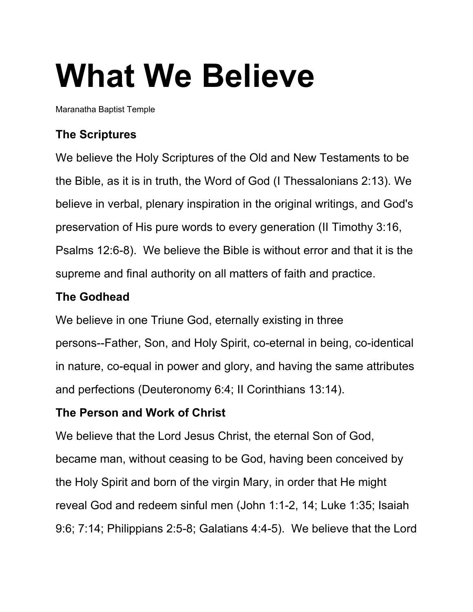# **What We Believe**

Maranatha Baptist Temple

# **The Scriptures**

We believe the Holy Scriptures of the Old and New Testaments to be the Bible, as it is in truth, the Word of God (I Thessalonians 2:13). We believe in verbal, plenary inspiration in the original writings, and God's preservation of His pure words to every generation (II Timothy 3:16, Psalms 12:6-8). We believe the Bible is without error and that it is the supreme and final authority on all matters of faith and practice.

# **The Godhead**

We believe in one Triune God, eternally existing in three persons--Father, Son, and Holy Spirit, co-eternal in being, co-identical in nature, co-equal in power and glory, and having the same attributes and perfections (Deuteronomy 6:4; II Corinthians 13:14).

# **The Person and Work of Christ**

We believe that the Lord Jesus Christ, the eternal Son of God, became man, without ceasing to be God, having been conceived by the Holy Spirit and born of the virgin Mary, in order that He might reveal God and redeem sinful men (John 1:1-2, 14; Luke 1:35; Isaiah 9:6; 7:14; Philippians 2:5-8; Galatians 4:4-5). We believe that the Lord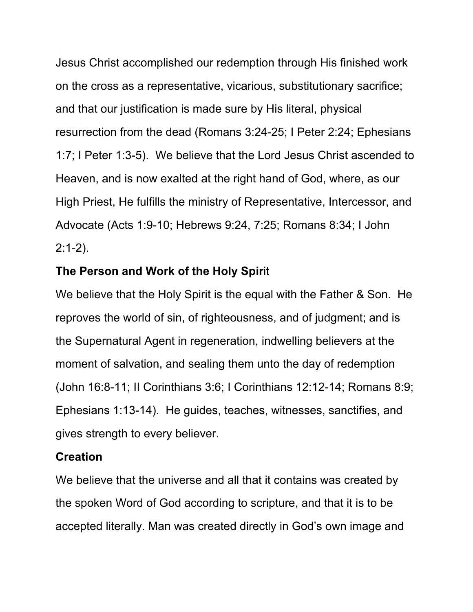Jesus Christ accomplished our redemption through His finished work on the cross as a representative, vicarious, substitutionary sacrifice; and that our justification is made sure by His literal, physical resurrection from the dead (Romans 3:24-25; I Peter 2:24; Ephesians 1:7; I Peter 1:3-5). We believe that the Lord Jesus Christ ascended to Heaven, and is now exalted at the right hand of God, where, as our High Priest, He fulfills the ministry of Representative, Intercessor, and Advocate (Acts 1:9-10; Hebrews 9:24, 7:25; Romans 8:34; I John  $2:1-2$ ).

### **The Person and Work of the Holy Spir**it

We believe that the Holy Spirit is the equal with the Father & Son. He reproves the world of sin, of righteousness, and of judgment; and is the Supernatural Agent in regeneration, indwelling believers at the moment of salvation, and sealing them unto the day of redemption (John 16:8-11; II Corinthians 3:6; I Corinthians 12:12-14; Romans 8:9; Ephesians 1:13-14). He guides, teaches, witnesses, sanctifies, and gives strength to every believer.

### **Creation**

We believe that the universe and all that it contains was created by the spoken Word of God according to scripture, and that it is to be accepted literally. Man was created directly in God's own image and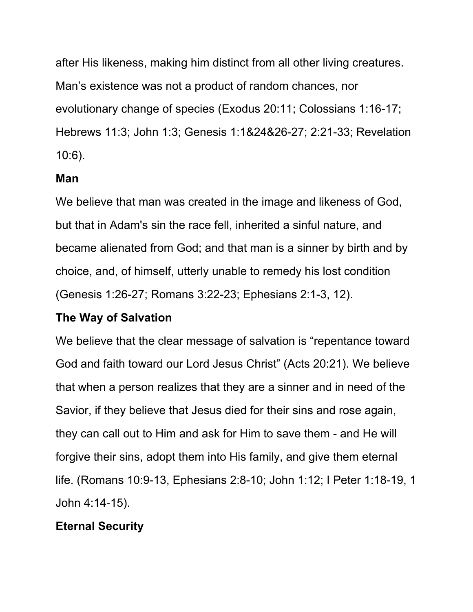after His likeness, making him distinct from all other living creatures. Man's existence was not a product of random chances, nor evolutionary change of species (Exodus 20:11; Colossians 1:16-17; Hebrews 11:3; John 1:3; Genesis 1:1&24&26-27; 2:21-33; Revelation 10:6).

## **Man**

We believe that man was created in the image and likeness of God, but that in Adam's sin the race fell, inherited a sinful nature, and became alienated from God; and that man is a sinner by birth and by choice, and, of himself, utterly unable to remedy his lost condition (Genesis 1:26-27; Romans 3:22-23; Ephesians 2:1-3, 12).

## **The Way of Salvation**

We believe that the clear message of salvation is "repentance toward God and faith toward our Lord Jesus Christ" (Acts 20:21). We believe that when a person realizes that they are a sinner and in need of the Savior, if they believe that Jesus died for their sins and rose again, they can call out to Him and ask for Him to save them - and He will forgive their sins, adopt them into His family, and give them eternal life. (Romans 10:9-13, Ephesians 2:8-10; John 1:12; I Peter 1:18-19, 1 John 4:14-15).

# **Eternal Security**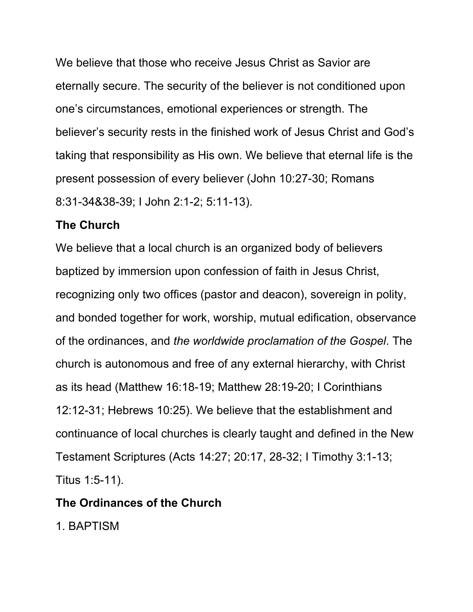We believe that those who receive Jesus Christ as Savior are eternally secure. The security of the believer is not conditioned upon one's circumstances, emotional experiences or strength. The believer's security rests in the finished work of Jesus Christ and God's taking that responsibility as His own. We believe that eternal life is the present possession of every believer (John 10:27-30; Romans 8:31-34&38-39; I John 2:1-2; 5:11-13).

### **The Church**

We believe that a local church is an organized body of believers baptized by immersion upon confession of faith in Jesus Christ, recognizing only two offices (pastor and deacon), sovereign in polity, and bonded together for work, worship, mutual edification, observance of the ordinances, and *the worldwide proclamation of the Gospel*. The church is autonomous and free of any external hierarchy, with Christ as its head (Matthew 16:18-19; Matthew 28:19-20; I Corinthians 12:12-31; Hebrews 10:25). We believe that the establishment and continuance of local churches is clearly taught and defined in the New Testament Scriptures (Acts 14:27; 20:17, 28-32; I Timothy 3:1-13; Titus 1:5-11).

### **The Ordinances of the Church**

1. BAPTISM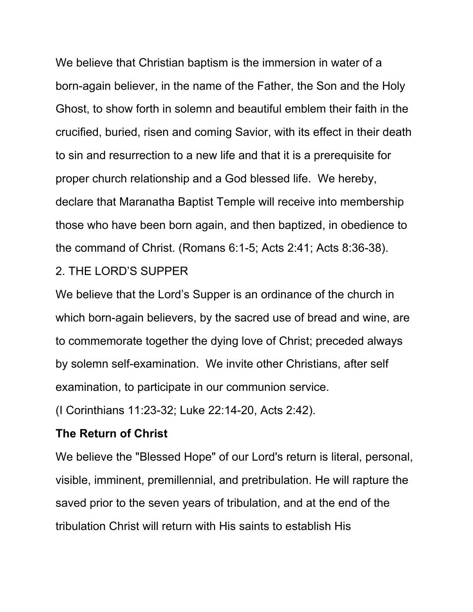We believe that Christian baptism is the immersion in water of a born-again believer, in the name of the Father, the Son and the Holy Ghost, to show forth in solemn and beautiful emblem their faith in the crucified, buried, risen and coming Savior, with its effect in their death to sin and resurrection to a new life and that it is a prerequisite for proper church relationship and a God blessed life. We hereby, declare that Maranatha Baptist Temple will receive into membership those who have been born again, and then baptized, in obedience to the command of Christ. (Romans 6:1-5; Acts 2:41; Acts 8:36-38).

#### 2. THE LORD'S SUPPER

We believe that the Lord's Supper is an ordinance of the church in which born-again believers, by the sacred use of bread and wine, are to commemorate together the dying love of Christ; preceded always by solemn self-examination. We invite other Christians, after self examination, to participate in our communion service.

(I Corinthians 11:23-32; Luke 22:14-20, Acts 2:42).

#### **The Return of Christ**

We believe the "Blessed Hope" of our Lord's return is literal, personal, visible, imminent, premillennial, and pretribulation. He will rapture the saved prior to the seven years of tribulation, and at the end of the tribulation Christ will return with His saints to establish His